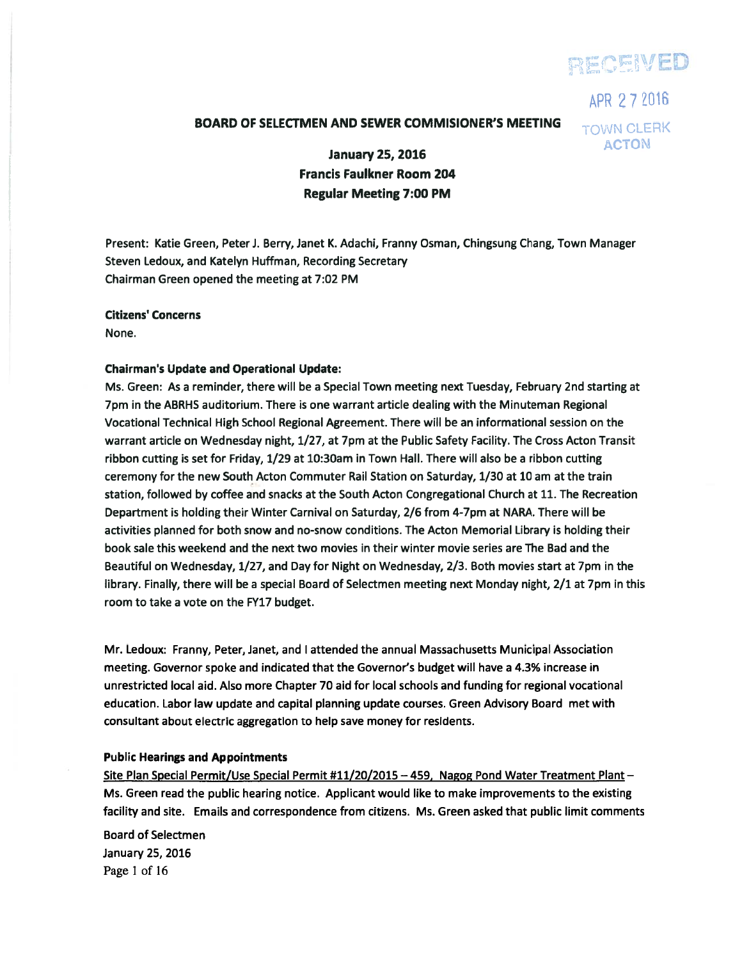# **FIECEIVED**

APR 27Z016 **TOWN CLERK** ACTON

## BOARD OF SELECTMEN AND SEWER COMMISIONER'S MEETING

January 25, 2016 Francis Faulkner Room 204 Regular Meeting 7:00 PM

Present: Katie Green, Peter J. Berry, Janet K. Adachi, Franny Osman, Chingsung Chang, Town Manager Steven Ledoux, and Katelyn Huffman, Recording Secretary Chairman Green opened the meeting at 7:02 PM

#### Citizens' Concerns

None.

#### Chairman's Update and Operational Update:

Ms. Green: As <sup>a</sup> reminder, there will be <sup>a</sup> Special Town meeting next Tuesday, February 2nd starting at 7pm in the ABRHS auditorium. There is one warrant article dealing with the Minuteman Regional Vocational Technical High School Regional Agreement. There will be an informational session on the warrant article on Wednesday night, 1/27, at 7pm at the Public Safety Facility. The Cross Acton Transit ribbon cutting is set for Friday, 1/29 at 10:30am in Town Hall. There will also be <sup>a</sup> ribbon cutting ceremony for the new South Acton Commuter Rail Station on Saturday, 1/30 at 10 am at the train station, followed by coffee and snacks at the South Acton Congregational Church at 11. The Recreation Department is holding their Winter Carnival on Saturday, 2/6 from 4-7pm at NARA. There will be activities planned for both snow and no-snow conditions. The Acton Memorial Library is holding their book sale this weekend and the next two movies in their winter movie series are The Bad and the Beautiful on Wednesday, 1/27, and Day for Night on Wednesday, 2/3. Both movies start at 7pm in the library. Finally, there will be <sup>a</sup> special Board of Selectmen meeting next Monday night, 2/1 at 7pm in this room to take <sup>a</sup> vote on the FY17 budget.

Mr. Ledoux: Franny, Peter, Janet, and I attended the annual Massachusetts Municipal Association meeting. Governor spoke and indicated that the Governor's budget will have <sup>a</sup> 4.3% increase in unrestricted local aid. Also more Chapter 70 aid for local schools and funding for regional vocational education. Labor law update and capital planning update courses. Green Advisory Board met with consultant about electric aggregation to help save money for residents.

#### Public Hearings and Appointments

Site Plan Special Permit/Use Special Permit #11/20/2015 — 459, Nagog Pond Water Treatment Plant — Ms. Green read the public hearing notice. Applicant would like to make improvements to the existing facility and site. Emails and correspondence from citizens. Ms. Green asked that public limit comments

Board of Selectmen January 25, 2016 Page 1 of 16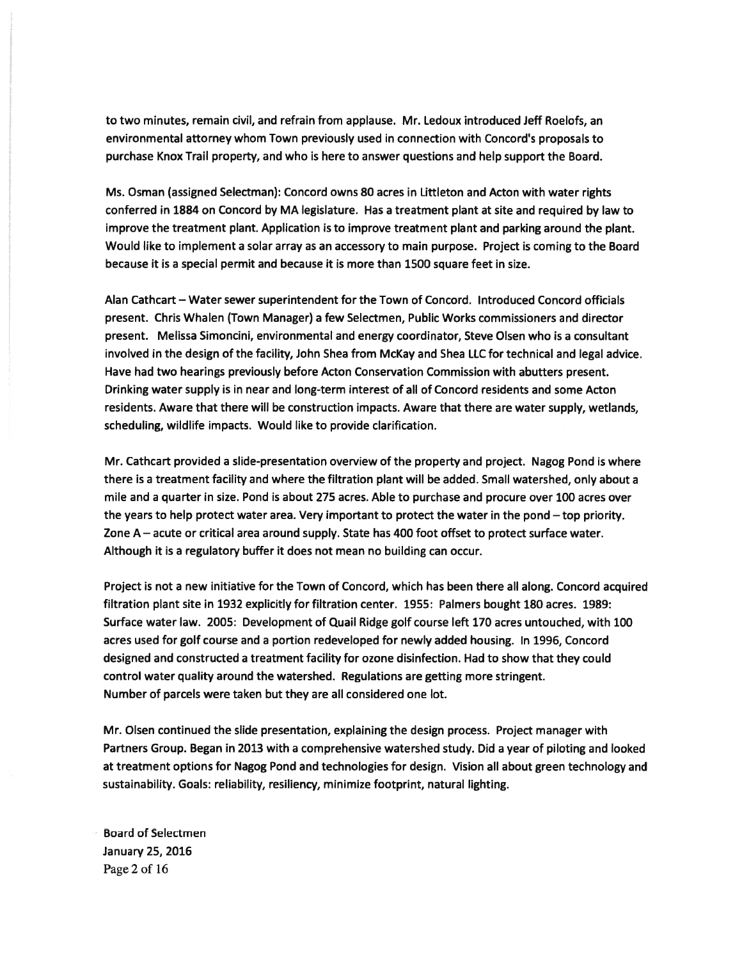to two minutes, remain civil, and refrain from applause. Mr. Ledoux introduced Jeff Roelofs, an environmental attorney whom Town previously used in connection with Concord's proposals to purchase Knox Trail property, and who is here to answer questions and help suppor<sup>t</sup> the Board.

Ms. Osman (assigned Selectman): Concord owns 80 acres in Littleton and Acton with water rights conferred in 1884 on Concord by MA legislature. Has <sup>a</sup> treatment plant at site and required by law to improve the treatment plant. Application is to improve treatment plant and parking around the plant. Would like to implement <sup>a</sup> solar array as an accessory to main purpose. Project is coming to the Board because it is <sup>a</sup> special permit and because it is more than 1500 square feet in size.

Alan Cathcart — Water sewer superintendent for the Town of Concord. Introduced Concord officials present. Chris Whalen (Town Manager) <sup>a</sup> few Selectmen, Public Works commissioners and director present. Melissa Simoncini, environmental and energy coordinator, Steve Olsen who is <sup>a</sup> consultant involved in the design of the facility, John Shea from McKay and Shea LLC for technical and legal advice. Have had two hearings previously before Acton Conservation Commission with abutters present. Drinking water supply is in near and long-term interest of all of Concord residents and some Acton residents. Aware that there will be construction impacts. Aware that there are water supply, wetlands, scheduling, wildlife impacts. Would like to provide clarification.

Mr. Cathcart provided <sup>a</sup> slide-presentation overview of the property and project. Nagog Pond is where there is <sup>a</sup> treatment facility and where the filtration plant will be added. Small watershed, only about <sup>a</sup> mile and <sup>a</sup> quarter in size. Pond is about 275 acres. Able to purchase and procure over 100 acres over the years to help protect water area. Very important to protect the water in the pond — top priority. Zone A — acute or critical area around supply. State has 400 foot offset to protect surface water. Although it is <sup>a</sup> regulatory buffer it does not mean no building can occur.

Project is not <sup>a</sup> new initiative for the Town of Concord, which has been there all along. Concord acquired filtration plant site in 1932 explicitly for filtration center. 1955: Palmers bought 180 acres. 1989: Surface water law. 2005: Development of Quail Ridge golf course left 170 acres untouched, with 100 acres used for golf course and <sup>a</sup> portion redeveloped for newly added housing. In 1996, Concord designed and constructed <sup>a</sup> treatment facility for ozone disinfection. Had to show that they could control water quality around the watershed. Regulations are getting more stringent. Number of parcels were taken but they are all considered one lot.

Mr. Olsen continued the slide presentation, explaining the design process. Project manager with Partners Group. Began in 2013 with <sup>a</sup> comprehensive watershed study. Did <sup>a</sup> year of piloting and looked at treatment options for Nagog Pond and technologies for design. Vision all about green technology and sustainability. Goals: reliability, resiliency, minimize footprint, natural lighting.

Board of Selectmen January 25, 2016 Page 2 of 16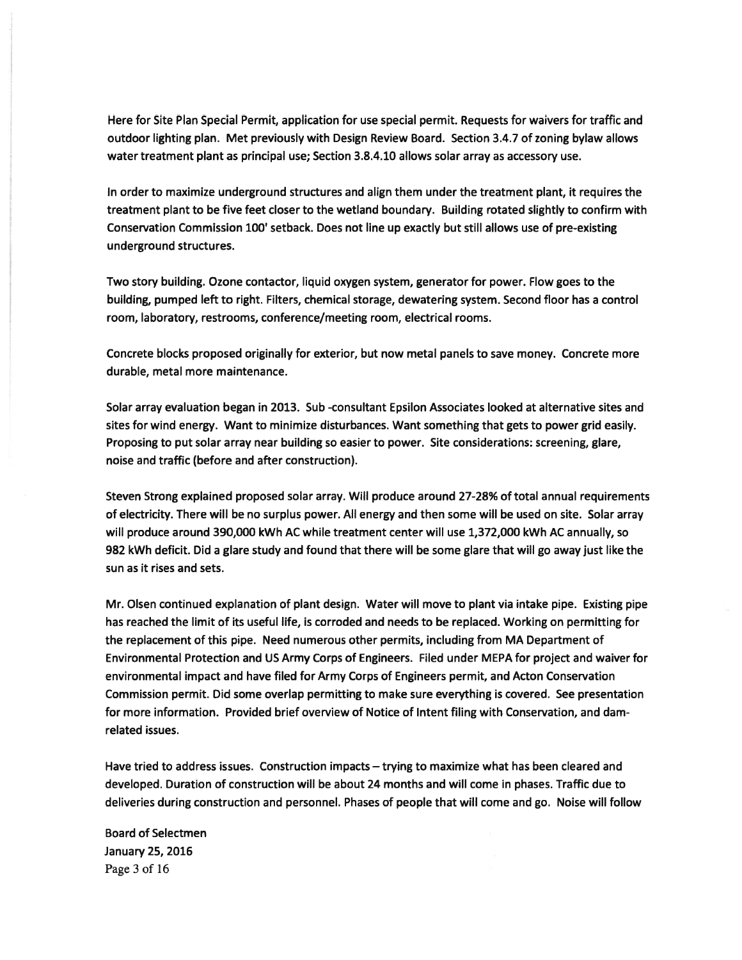Here for Site Plan Special Permit, application for use special permit. Requests for waivers for traffic and outdoor lighting plan. Met previously with Design Review Board. Section 3.4.7 of zoning bylaw allows water treatment plant as principal use; Section 3.8.4.10 allows solar array as accessory use.

In order to maximize underground structures and align them under the treatment plant, it requires the treatment plant to be five feet closer to the wetland boundary. Building rotated slightly to confirm with Conservation Commission 100' setback. Does not line up exactly but still allows use of pre-existing underground structures.

Two story building. Ozone contactor, liquid oxygen system, generator for power. Flow goes to the building, pumped left to right. Filters, chemical storage, dewatering system. Second floor has <sup>a</sup> control room, laboratory, restrooms, conference/meeting room, electrical rooms.

Concrete blocks proposed originally for exterior, but now metal panels to save money. Concrete more durable, metal more maintenance.

Solar array evaluation began in 2013. Sub -consultant Epsilon Associates looked at alternative sites and sites for wind energy. Want to minimize disturbances. Want something that gets to power grid easily. Proposing to pu<sup>t</sup> solar array near building so easier to power. Site considerations: screening, glare, noise and traffic (before and after construction).

Steven Strong explained proposed solar array. Will produce around 27-28% of total annual requirements of electricity. There will be no surplus power. All energy and then some will be used on site. Solar array will produce around 390,000 kWh AC while treatment center will use 1,372,000 kWh AC annually, so 982 kWh deficit. Did <sup>a</sup> glare study and found that there will be some glare that will go away just like the sun as it rises and sets.

Mr. Olsen continued explanation of plant design. Water will move to plant via intake pipe. Existing pipe has reached the limit of its useful life, is corroded and needs to be replaced. Working on permitting for the replacement of this pipe. Need numerous other permits, including from MA Department of Environmental Protection and US Army Corps of Engineers. Filed under MEPA for project and waiver for environmental impact and have filed for Army Corps of Engineers permit, and Acton Conservation Commission permit. Did some overlap permitting to make sure everything is covered. See presentation for more information. Provided brief overview of Notice of Intent filing with Conservation, and damrelated issues.

Have tried to address issues. Construction impacts — trying to maximize what has been cleared and developed. Duration of construction will be about 24 months and will come in phases. Traffic due to deliveries during construction and personnel. Phases of people that will come and go. Noise will follow

Board of Selectmen January 25, 2016 Page 3 of 16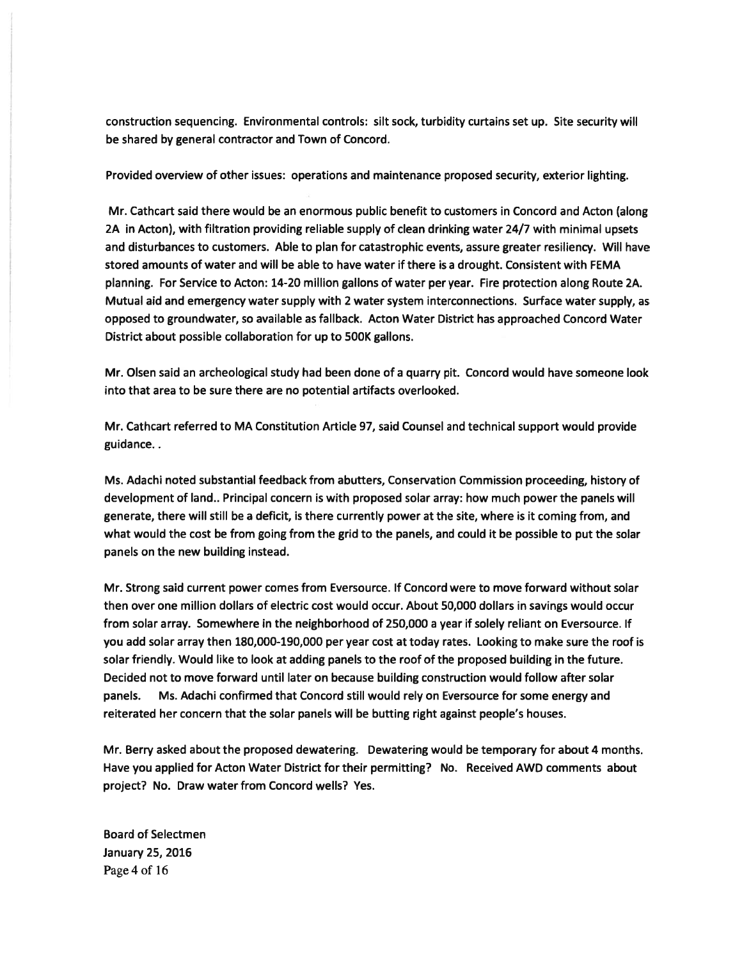construction sequencing. Environmental controls: silt sock, turbidity curtains set up. Site security will be shared by general contractor and Town of Concord.

Provided overview of other issues: operations and maintenance proposed security, exterior lighting.

Mr. Cathcart said there would be an enormous public benefit to customers in Concord and Acton (along 2A in Acton), with filtration providing reliable supply of clean drinking water 24/7 with minimal upsets and disturbances to customers. Able to plan for catastrophic events, assure greater resiliency. Will have stored amounts of water and will be able to have water if there is <sup>a</sup> drought. Consistent with FEMA planning. For Service to Acton: 14-20 million gallons of water per year. Fire protection along Route 2A. Mutual aid and emergency water supply with 2 water system interconnections. Surface water supply, as opposed to groundwater, so available as fallback. Acton Water District has approached Concord Water District about possible collaboration for up to 500K gallons.

Mr. Olsen said an archeological study had been done of <sup>a</sup> quarry pit. Concord would have someone look into that area to be sure there are no potential artifacts overlooked.

Mr. Cathcart referred to MA Constitution Article 97, said Counsel and technical suppor<sup>t</sup> would provide guidance..

Ms. Adachi noted substantial feedback from abutters, Conservation Commission proceeding, history of development of land.. Principal concern is with proposed solar array: how much power the panels will generate, there will still be <sup>a</sup> deficit, is there currently power at the site, where is it coming from, and what would the cost be from going from the grid to the panels, and could it be possible to pu<sup>t</sup> the solar panels on the new building instead.

Mr. Strong said current power comes from Eversource. If Concord were to move forward without solar then over one million dollars of electric cost would occur. About 50,000 dollars in savings would occur from solar array. Somewhere in the neighborhood of 250,000 <sup>a</sup> year if solely reliant on Eversource. If you add solar array then 180,000-190,000 per year cost at today rates. Looking to make sure the roof is solar friendly. Would like to look at adding panels to the roof of the proposed building in the future. Decided not to move forward until later on because building construction would follow after solar panels. Ms. Adachi confirmed that Concord still would rely on Eversource for some energy and reiterated her concern that the solar panels will be butting right against people's houses.

Mr. Berry asked about the proposed dewatering. Dewatering would be temporary for about 4 months. Have you applied for Acton Water District for their permitting? No. Received AWD comments about project? No. Draw water from Concord wells? Yes.

Board of Selectmen January 25, 2016 Page 4 of 16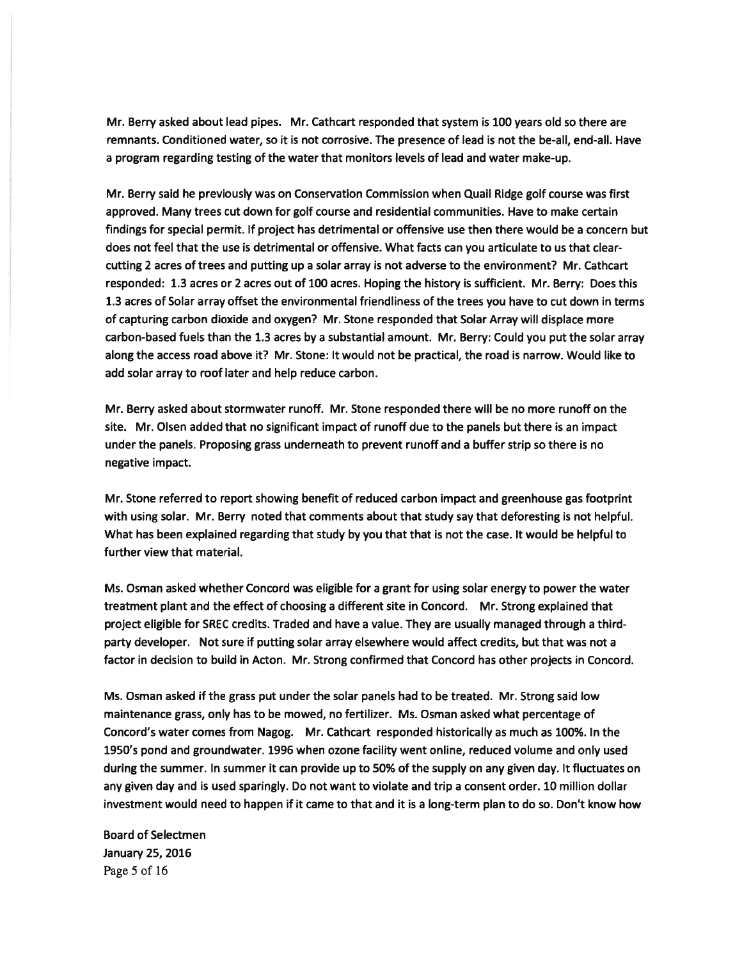Mr. Berry asked about lead pipes. Mr. Cathcart responded that system is 100 years old so there are remnants. Conditioned water, so it is not corrosive. The presence of lead is not the be-all, end-all. Have <sup>a</sup> program regarding testing of the water that monitors levels of lead and water make-up.

Mr. Berry said he previously was on Conservation Commission when Quail Ridge golf course was first approved. Many trees cut down for golf course and residential communities. Have to make certain findings for special permit. If project has detrimental or offensive use then there would be <sup>a</sup> concern but does not feel that the use is detrimental or offensive. What facts can you articulate to us that clearcutting 2 acres of trees and putting up <sup>a</sup> solar array is not adverse to the environment? Mr. Cathcart responded: 1.3 acres or 2 acres out of 100 acres. Hoping the history is sufficient. Mr. Berry: Does this 1.3 acres of Solar array offset the environmental friendliness of the trees you have to cut down in terms of capturing carbon dioxide and oxygen? Mr. Stone responded that Solar Array will displace more carbon-based fuels than the 1.3 acres by <sup>a</sup> substantial amount. Mr. Berry: Could you pu<sup>t</sup> the solar array along the access road above it? Mr. Stone: It would not be practical, the road is narrow. Would like to add solar array to roof later and help reduce carbon.

Mr. Berry asked about stormwater runoff. Mr. Stone responded there will be no more runoff on the site. Mr. Olsen added that no significant impact of runoff due to the panels but there is an impact under the panels. Proposing grass underneath to preven<sup>t</sup> runoff and <sup>a</sup> buffer strip so there is no negative impact.

Mr. Stone referred to repor<sup>t</sup> showing benefit of reduced carbon impact and greenhouse gas footprint with using solar. Mr. Berry noted that comments about that study say that deforesting is not helpful. What has been explained regarding that study by you that that is not the case. It would be helpful to further view that material.

Ms. Osman asked whether Concord was eligible for <sup>a</sup> gran<sup>t</sup> for using solar energy to power the water treatment plant and the effect of choosing <sup>a</sup> different site in Concord. Mr. Strong explained that project eligible for SREC credits. Traded and have <sup>a</sup> value. They are usually managed through <sup>a</sup> thirdparty developer. Not sure if putting solar array elsewhere would affect credits, but that was not <sup>a</sup> factor in decision to build in Acton. Mr. Strong confirmed that Concord has other projects in Concord.

Ms. Osman asked if the grass pu<sup>t</sup> under the solar panels had to be treated. Mr. Strong said low maintenance grass, only has to be mowed, no fertilizer. Ms. Osman asked what percentage of Concord's water comes from Nagog. Mr. Cathcart responded historically as much as 100%. In the 1950's pond and groundwater. 1996 when ozone facility went online, reduced volume and only used during the summer. In summer it can provide up to 50% of the supply on any given day. It fluctuates on any given day and is used sparingly. Do not want to violate and trip <sup>a</sup> consent order. 10 million dollar investment would need to happen if it came to that and it is <sup>a</sup> long-term plan to do so. Don't know how

Board of Selectmen January 25, 2016 Page 5 of 16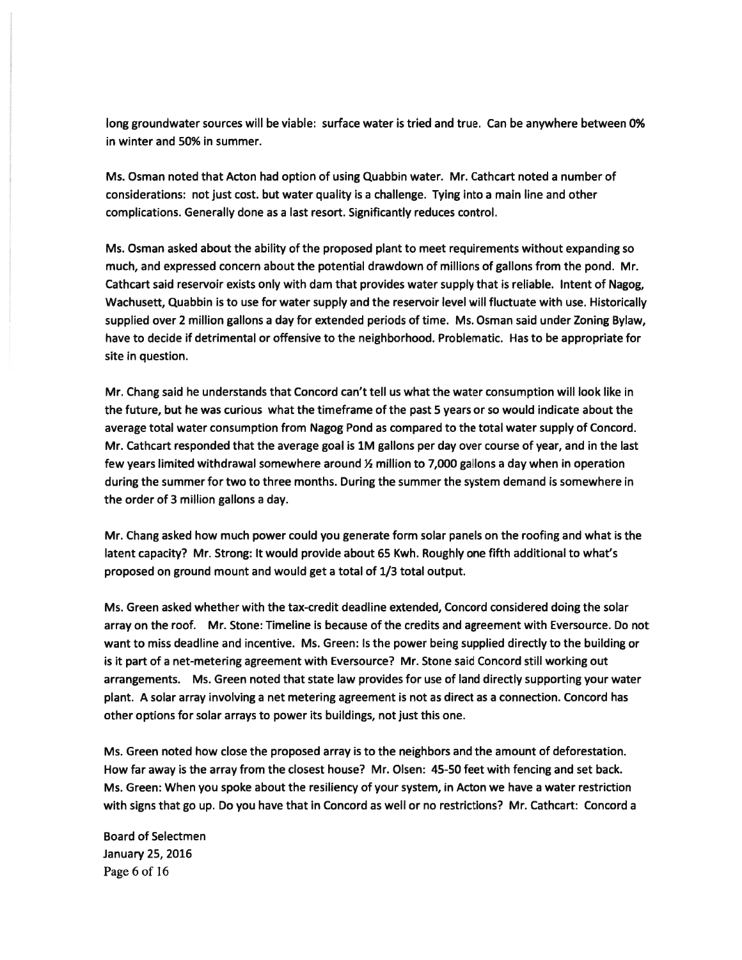long groundwater sources will be viable: surface water is tried and true. Can be anywhere between 0% in winter and 50% in summer.

Ms. Osman noted that Acton had option of using Quabbin water. Mr. Cathcart noted <sup>a</sup> number of considerations: not just cost. but water quality is <sup>a</sup> challenge. Tying into <sup>a</sup> main line and other complications. Generally done as <sup>a</sup> last resort. Significantly reduces control.

Ms. Osman asked about the ability of the proposed plant to meet requirements without expanding so much, and expressed concern about the potential drawdown of millions of gallons from the pond. Mr. Cathcart said reservoir exists only with dam that provides water supply that is reliable. Intent of Nagog, Wachusett, Quabbin is to use for water supply and the reservoir level will fluctuate with use. Historically supplied over 2 million gallons <sup>a</sup> day for extended periods of time. Ms. Osman said under Zoning Bylaw, have to decide if detrimental or offensive to the neighborhood. Problematic. Has to be appropriate for site in question.

Mr. Chang said he understands that Concord can't tell us what the water consumption will look like in the future, but he was curious what the timeframe of the pas<sup>t</sup> 5 years or so would indicate about the average total water consumption from Nagog Pond as compared to the total water supply of Concord. Mr. Cathcart responded that the average goal is 1M gallons per day over course of year, and in the last few years limited withdrawal somewhere around  $\frac{1}{2}$  million to 7,000 gallons a day when in operation during the summer for two to three months. During the summer the system demand is somewhere in the order of 3 million gallons <sup>a</sup> day.

Mr. Chang asked how much power could you generate form solar panels on the roofing and what is the latent capacity? Mr. Strong: It would provide about 65 Kwh. Roughly one fifth additional to what's proposed on ground mount and would ge<sup>t</sup> <sup>a</sup> total of 1/3 total output.

Ms. Green asked whether with the tax-credit deadline extended, Concord considered doing the solar array on the roof. Mr. Stone: Timeline is because of the credits and agreemen<sup>t</sup> with Eversource. Do not want to miss deadline and incentive. Ms. Green: Is the power being supplied directly to the building or is it par<sup>t</sup> of <sup>a</sup> net-metering agreemen<sup>t</sup> with Eversource? Mr. Stone said Concord still working out arrangements. Ms. Green noted that state law provides for use of land directly supporting your water plant. A solar array involving <sup>a</sup> net metering agreemen<sup>t</sup> is not as direct as <sup>a</sup> connection. Concord has other options for solar arrays to power its buildings, not just this one.

Ms. Green noted how close the proposed array is to the neighbors and the amount of deforestation. How far away is the array from the closest house? Mr. Olsen: 45-50 feet with fencing and set back. Ms. Green: When you spoke about the resiliency of your system, in Acton we have <sup>a</sup> water restriction with signs that go up. Do you have that in Concord as well or no restrictions? Mr. Cathcart: Concord <sup>a</sup>

Board of Selectmen January 25, 2016 Page 6 of 16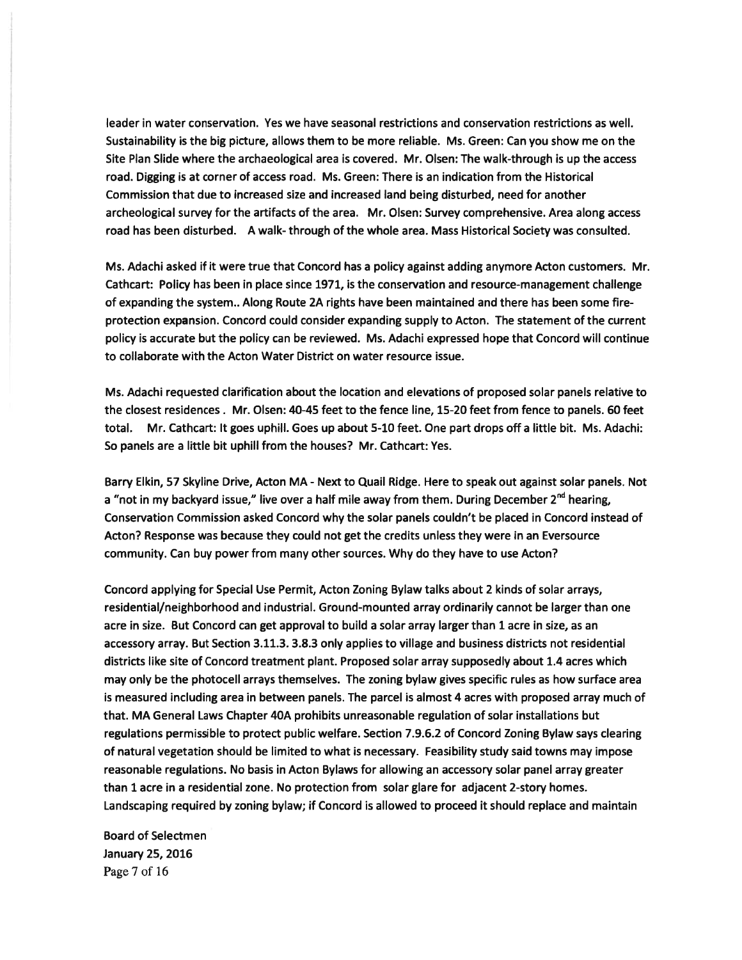leader in water conservation. Yes we have seasonal restrictions and conservation restrictions as well. Sustainability is the big picture, allows them to be more reliable. Ms. Green: Can you show me on the Site Plan Slide where the archaeological area is covered. Mr. Olsen: The walk-through is up the access road. Digging is at corner of access road. Ms. Green: There is an indication from the Historical Commission that due to increased size and increased land being disturbed, need for another archeological survey for the artifacts of the area. Mr. Olsen: Survey comprehensive. Area along access road has been disturbed. A walk- through of the whole area. Mass Historical Society was consulted.

Ms. Adachi asked if it were true that Concord has <sup>a</sup> policy against adding anymore Acton customers. Mr. Cathcart: Policy has been in place since 1971, is the conservation and resource-managemen<sup>t</sup> challenge of expanding the system.. Along Route 2A rights have been maintained and there has been some fireprotection expansion. Concord could consider expanding supply to Acton. The statement of the current policy is accurate but the policy can be reviewed. Ms. Adachi expressed hope that Concord will continue to collaborate with the Acton Water District on water resource issue.

Ms. Adachi requested clarification about the location and elevations of proposed solar panels relative to the closest residences. Mr. Olsen: 40-45 feet to the fence line, 15-20 feet from fence to panels. 60 feet total. Mr. Cathcart: It goes uphill. Goes up about 5-10 feet. One par<sup>t</sup> drops off <sup>a</sup> little bit. Ms. Adachi: So panels are <sup>a</sup> little bit uphill from the houses? Mr. Cathcart: Yes.

Barry Elkin, 57 Skyline Drive, Acton MA - Next to Quail Ridge. Here to speak out against solar panels. Not a "not in my backyard issue," live over a half mile away from them. During December  $2^{nd}$  hearing, Conservation Commission asked Concord why the solar panels couldn't be placed in Concord instead of Acton? Response was because they could not ge<sup>t</sup> the credits unless they were in an Eversource community. Can buy power from many other sources. Why do they have to use Acton?

Concord applying for Special Use Permit, Acton Zoning Bylaw talks about 2 kinds of solar arrays, residential/neighborhood and industrial. Ground-mounted array ordinarily cannot be larger than one acre in size. But Concord can ge<sup>t</sup> approval to build <sup>a</sup> solar array larger than 1 acre in size, as an accessory array. But Section 3.11.3. 3.8.3 only applies to village and business districts not residential districts like site of Concord treatment plant. Proposed solar array supposedly about 1.4 acres which may only be the photocell arrays themselves. The zoning bylaw gives specific rules as how surface area is measured including area in between panels. The parcel is almost 4 acres with proposed array much of that. MA General Laws Chapter 40A prohibits unreasonable regulation of solar installations but regulations permissible to protect public welfare. Section 7.9.6.2 of Concord Zoning Bylaw says clearing of natural vegetation should be limited to what is necessary. Feasibility study said towns may impose reasonable regulations. No basis in Acton Bylaws for allowing an accessory solar panel array greater than 1 acre in <sup>a</sup> residential zone. No protection from solar glare for adjacent 2-story homes. Landscaping required by zoning bylaw; if Concord is allowed to proceed it should replace and maintain

Board of Selectmen January 25, 2016 Page 7 of 16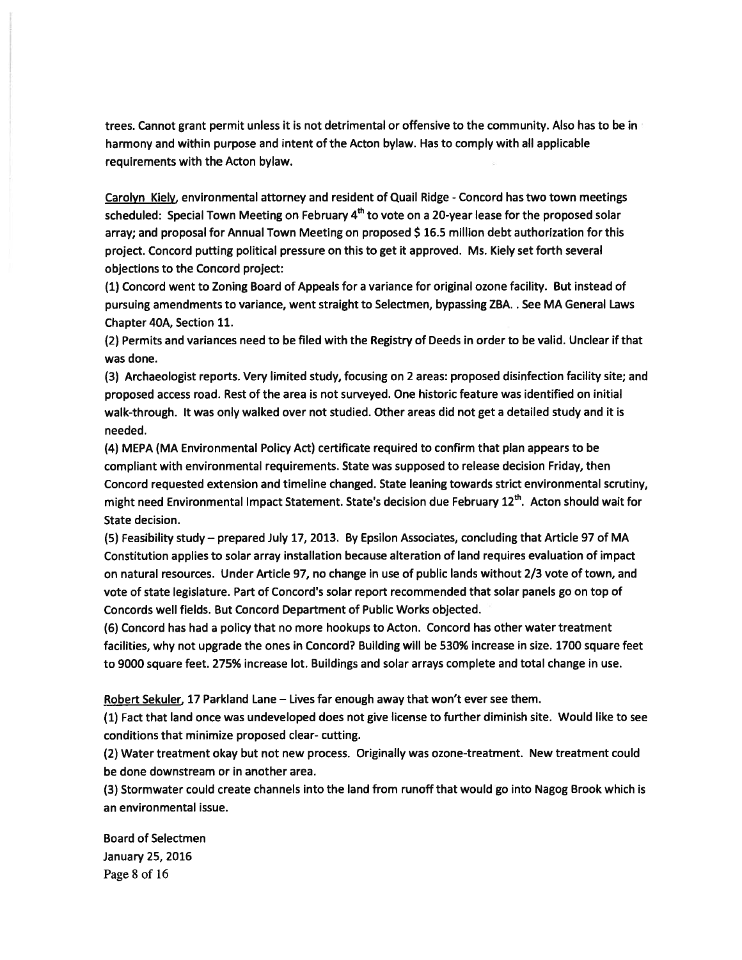trees. Cannot gran<sup>t</sup> permit unless it is not detrimental or offensive to the community. Also has to be in harmony and within purpose and intent of the Acton bylaw. Has to comply with all applicable requirements with the Acton bylaw.

Carolyn Kiely, environmental attorney and resident of Quail Ridge - Concord has two town meetings scheduled: Special Town Meeting on February 4<sup>th</sup> to vote on a 20-year lease for the proposed solar array; and proposal for Annual Town Meeting on proposed \$ 16.5 million debt authorization for this project. Concord putting political pressure on this to ge<sup>t</sup> it approved. Ms. Kiely set forth several objections to the Concord project:

(1) Concord went to Zoning Board of Appeals for <sup>a</sup> variance for original ozone facility. But instead of pursuing amendments to variance, went straight to Selectmen, bypassing ZBA. . See MA General Laws Chapter 40A, Section 11.

(2) Permits and variances need to be filed with the Registry of Deeds in order to be valid. Unclear if that was done.

(3) Archaeologist reports. Very limited study, focusing on 2 areas: proposed disinfection facility site; and proposed access road. Rest of the area is not surveyed. One historic feature was identified on initial walk-through. It was only walked over not studied. Other areas did not ge<sup>t</sup> <sup>a</sup> detailed study and it is needed.

(4) MEPA (MA Environmental Policy Act) certificate required to confirm that plan appears to be compliant with environmental requirements. State was supposed to release decision Friday, then Concord requested extension and timeline changed. State leaning towards strict environmental scrutiny, might need Environmental Impact Statement. State's decision due February  $12^{th}$ . Acton should wait for State decision.

(5) Feasibility study — prepared July 17, 2013. By Epsilon Associates, concluding that Article 97 of MA Constitution applies to solar array installation because alteration of land requires evaluation of impact on natural resources. Under Article 97, no change in use of public lands without 2/3 vote of town, and vote of state legislature. Part of Concord's solar repor<sup>t</sup> recommended that solar panels go on top of Concords well fields. But Concord Department of Public Works objected.

(6) Concord has had <sup>a</sup> policy that no more hookups to Acton. Concord has other water treatment facilities, why not upgrade the ones in Concord? Building will be 530% increase in size. 1700 square feet to 9000 square feet. 275% increase lot. Buildings and solar arrays complete and total change in use.

Robert Sekuler. 17 Parkland Lane — Lives far enough away that won't ever see them.

(1) Fact that land once was undeveloped does not give license to further diminish site. Would like to see conditions that minimize proposed clear- cutting.

(2) Water treatment okay but not new process. Originally was ozone-treatment. New treatment could be done downstream or in another area.

(3) Stormwater could create channels into the land from runoff that would go into Nagog Brook which is an environmental issue.

Board of Selectmen January 25, 2016 Page 8 of 16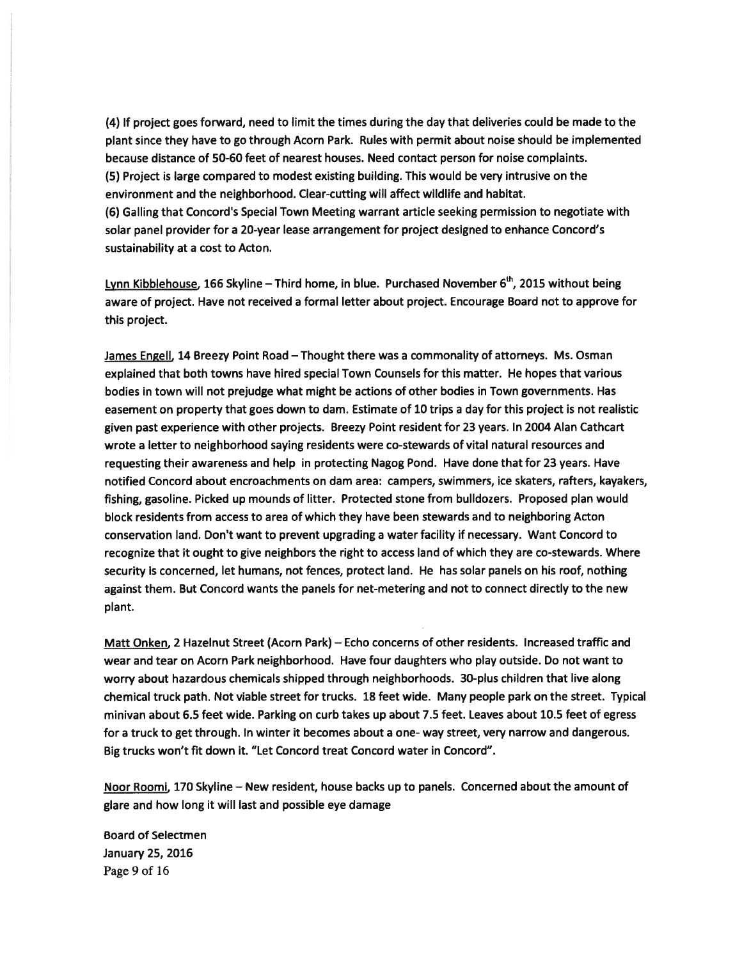(4) If project goes forward, need to limit the times during the day that deliveries could be made to the plant since they have to go through Acorn Park. Rules with permit about noise should be implemented because distance of 50-60 feet of nearest houses. Need contact person for noise complaints. (5) Project is large compared to modest existing building. This would be very intrusive on the environment and the neighborhood. Clear-cutting will affect wildlife and habitat. (6) Galling that Concord's Special Town Meeting warrant article seeking permission to negotiate with solar panel provider for <sup>a</sup> 20-year lease arrangemen<sup>t</sup> for project designed to enhance Concord's sustainability at <sup>a</sup> cost to Acton.

Lynn Kibblehouse, 166 Skyline – Third home, in blue. Purchased November  $6<sup>th</sup>$ , 2015 without being aware of project. Have not received <sup>a</sup> formal letter about project. Encourage Board not to approve for this project.

James Engell, 14 Breezy Point Road – Thought there was a commonality of attorneys. Ms. Osman explained that both towns have hired special Town Counsels for this matter. He hopes that various bodies in town will not prejudge what might be actions of other bodies in Town governments. Has easement on property that goes down to dam. Estimate of 10 trips <sup>a</sup> day for this project is not realistic given pas<sup>t</sup> experience with other projects. Breezy Point resident for 23 years. In 2004 Alan Cathcart wrote <sup>a</sup> letter to neighborhood saying residents were co-stewards of vital natural resources and requesting their awareness and help in protecting Nagog Pond. Have done that for 23 years. Have notified Concord about encroachments on dam area: campers, swimmers, ice skaters, rafters, kayakers, fishing, gasoline. Picked up mounds of litter. Protected stone from bulldozers. Proposed plan would block residents from access to area of which they have been stewards and to neighboring Acton conservation land. Don't want to preven<sup>t</sup> upgrading <sup>a</sup> water facility if necessary. Want Concord to recognize that it ought to give neighbors the right to access land of which they are co-stewards. Where security is concerned, let humans, not fences, protect land. He has solar panels on his roof, nothing against them. But Concord wants the panels for net-metering and not to connect directly to the new plant.

Matt Onken, 2 Hazelnut Street (Acorn Park) — Echo concerns of other residents. Increased traffic and wear and tear on Acorn Park neighborhood. Have four daughters who play outside. Do not want to worry about hazardous chemicals shipped through neighborhoods. 30-plus children that live along chemical truck path. Not viable street for trucks. 18 feet wide. Many people park on the street. Typical minivan about 6.5 feet wide. Parking on curb takes up about 7.5 feet. Leaves about 10.5 feet of egress for <sup>a</sup> truck to ge<sup>t</sup> through. In winter it becomes about <sup>a</sup> one- way street, very narrow and dangerous. Big trucks won't fit down it. "Let Concord treat Concord water in Concord".

Noor Roomi, 170 Skyline — New resident, house backs up to panels. Concerned about the amount of glare and how long it will last and possible eye damage

Board of Selectmen January 25, 2016 Page 9 of 16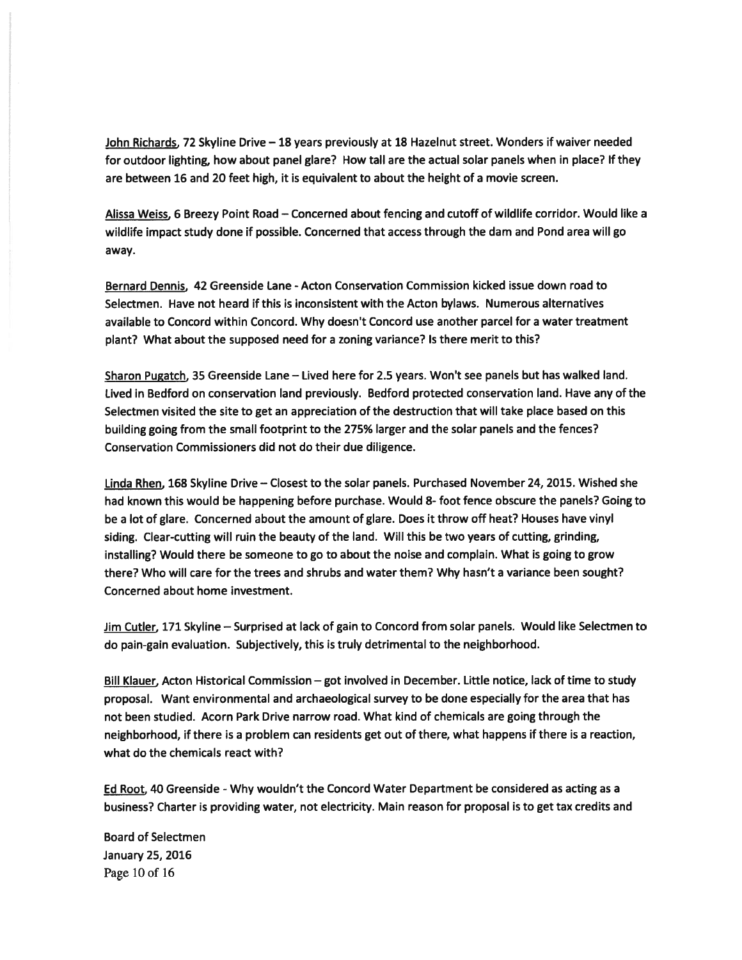John Richards, 72 Skyline Drive — 18 years previously at 18 Hazelnut street. Wonders if waiver needed for outdoor lighting, how about panel glare? How tall are the actual solar panels when in place? If they are between 16 and 20 feet high, it is equivalent to about the height of <sup>a</sup> movie screen.

Alissa Weiss. <sup>6</sup> Breezy Point Road — Concerned about fencing and cutoff of wildlife corridor. Would like <sup>a</sup> wildlife impact study done if possible. Concerned that access through the dam and Pond area will go away.

Bernard Dennis, 42 Greenside Lane - Acton Conservation Commission kicked issue down road to Selectmen. Have not heard if this is inconsistent with the Acton bylaws. Numerous alternatives available to Concord within Concord. Why doesn't Concord use another parcel for <sup>a</sup> water treatment plant? What about the supposed need for <sup>a</sup> zoning variance? Is there merit to this?

Sharon Pugatch, 35 Greenside Lane — Lived here for 2.5 years. Won't see panels but has walked land. Lived in Bedford on conservation land previously. Bedford protected conservation land. Have any of the Selectmen visited the site to ge<sup>t</sup> an appreciation of the destruction that will take place based on this building going from the small footprint to the 275% larger and the solar panels and the fences? Conservation Commissioners did not do their due diligence.

Linda Rhen, 168 Skyline Drive — Closest to the solar panels. Purchased November 24, 2015. Wished she had known this would be happening before purchase. Would 8- foot fence obscure the panels? Going to be <sup>a</sup> lot of glare. Concerned about the amount of glare. Does it throw off heat? Houses have vinyl siding. Clear-cutting will ruin the beauty of the land. Will this be two years of cutting, grinding, installing? Would there be someone to go to about the noise and complain. What is going to grow there? Who will care for the trees and shrubs and water them? Why hasn't <sup>a</sup> variance been sought? Concerned about home investment.

Jim Cutler, 171 Skyline – Surprised at lack of gain to Concord from solar panels. Would like Selectmen to do pain-gain evaluation. Subjectively, this is truly detrimental to the neighborhood.

Bill Klauer, Acton Historical Commission — go<sup>t</sup> involved in December. Little notice, lack of time to study proposal. Want environmental and archaeological survey to be done especially for the area that has not been studied. Acorn Park Drive narrow road. What kind of chemicals are going through the neighborhood, if there is <sup>a</sup> problem can residents ge<sup>t</sup> out of there, what happens if there is <sup>a</sup> reaction, what do the chemicals react with?

Ed Root, 40 Greenside -Why wouldn't the Concord Water Department be considered as acting as <sup>a</sup> business? Charter is providing water, not electricity. Main reason for proposal is to ge<sup>t</sup> tax credits and

Board of Selectmen January 25, 2016 Page 10 of 16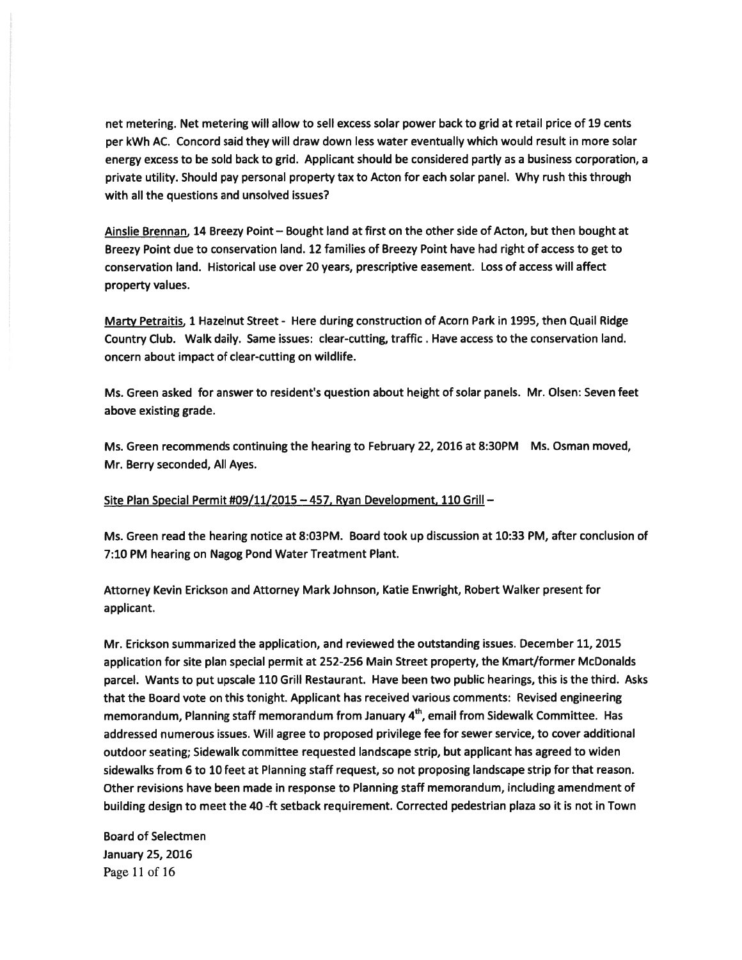net metering. Net metering will allow to sell excess solar power back to grid at retail price of 19 cents per kWh AC. Concord said they will draw down less water eventually which would result in more solar energy excess to be sold back to grid. Applicant should be considered partly as <sup>a</sup> business corporation, <sup>a</sup> private utility. Should pay personal property tax to Acton for each solar panel. Why rush this through with all the questions and unsolved issues?

Ainslie Brennan, 14 Breezy Point — Bought land at first on the other side of Acton, but then bought at Breezy Point due to conservation land. 12 families of Breezy Point have had right of access to ge<sup>t</sup> to conservation land. Historical use over 20 years, prescriptive easement. Loss of access will affect property values.

Marty Petraitis, <sup>1</sup> Hazelnut Street - Here during construction of Acorn Park in 1995, then Quail Ridge Country Club. Walk daily. Same issues: clear-cutting, traffic. Have access to the conservation land. oncern about impact of clear-cutting on wildlife.

Ms. Green asked for answer to resident's question about height of solar panels. Mr. Olsen: Seven feet above existing grade.

Ms. Green recommends continuing the hearing to February 22, 2016 at 8:30PM Ms. Osman moved, Mr. Berry seconded, All Ayes.

Site Plan Special Permit #09/11/2015 — 457, Ryan Development, 110 Grill —

Ms. Green read the hearing notice at 8:03PM. Board took up discussion at 10:33 PM, after conclusion of 7:10 PM hearing on Nagog Pond Water Treatment Plant.

Attorney Kevin Erickson and Attorney Mark Johnson, Katie Enwright, Robert Walker presen<sup>t</sup> for applicant.

Mr. Erickson summarized the application, and reviewed the outstanding issues. December 11, 2015 application for site plan special permit at 252-256 Main Street property, the Kmart/former McDonalds parcel. Wants to pu<sup>t</sup> upscale 110 Grill Restaurant. Have been two public hearings, this is the third. Asks that the Board vote on this tonight. Applicant has received various comments: Revised engineering memorandum, Planning staff memorandum from January 4<sup>th</sup>, email from Sidewalk Committee. Has addressed numerous issues. Will agree to proposed privilege fee for sewer service, to cover additional outdoor seating; Sidewalk committee requested landscape strip, but applicant has agreed to widen sidewalks from 6 to 10 feet at Planning staff request, so not proposing landscape strip for that reason. Other revisions have been made in response to Planning staff memorandum, including amendment of building design to meet the 40 -ft setback requirement. Corrected pedestrian plaza so it is not in Town

Board of Selectmen January 25, 2016 Page 11 of 16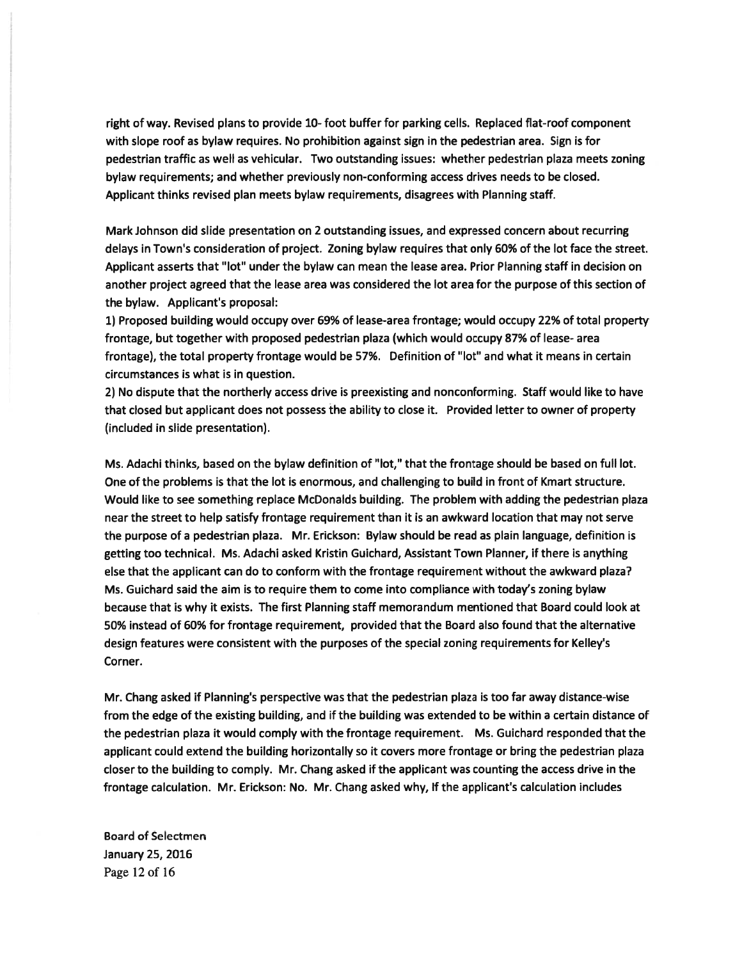right of way. Revised plans to provide 10- foot buffer for parking cells. Replaced flat-roof componen<sup>t</sup> with slope roof as bylaw requires. No prohibition against sign in the pedestrian area. Sign is for pedestrian traffic as well as vehicular. Two outstanding issues: whether pedestrian plaza meets zoning bylaw requirements; and whether previously non-conforming access drives needs to be closed. Applicant thinks revised plan meets bylaw requirements, disagrees with Planning staff.

Mark Johnson did slide presentation on 2 outstanding issues, and expressed concern about recurring delays in Town's consideration of project. Zoning bylaw requires that only 60% of the lot face the street. Applicant asserts that "lot" under the bylaw can mean the lease area. Prior Planning staff in decision on another project agreed that the lease area was considered the lot area for the purpose of this section of the bylaw. Applicant's proposal:

1) Proposed building would occupy over 69% of lease-area frontage; would occupy 22% of total property frontage, but together with proposed pedestrian plaza (which would occupy 87% of lease- area frontage), the total property frontage would be 57%. Definition of "lot" and what it means in certain circumstances is what is in question.

2) No dispute that the northerly access drive is preexisting and nonconforming. Staff would like to have that closed but applicant does not possess the ability to close it. Provided letter to owner of property (included in slide presentation).

Ms. Adachi thinks, based on the bylaw definition of "lot," that the frontage should be based on full lot. One of the problems is that the lot is enormous, and challenging to build in front of Kmart structure. Would like to see something replace McDonalds building. The problem with adding the pedestrian plaza near the street to help satisfy frontage requirement than it is an awkward location that may not serve the purpose of <sup>a</sup> pedestrian plaza. Mr. Erickson: Bylaw should be read as plain language, definition is getting too technical. Ms. Adachi asked Kristin Guichard, Assistant Town Planner, if there is anything else that the applicant can do to conform with the frontage requirement without the awkward plaza? Ms. Guichard said the aim is to require them to come into compliance with today's zoning bylaw because that is why it exists. The first Planning staff memorandum mentioned that Board could look at 50% instead of 60% for frontage requirement, provided that the Board also found that the alternative design features were consistent with the purposes of the special zoning requirements for Kelley's Corner.

Mr. Chang asked if Planning's perspective was that the pedestrian plaza is too far away distance-wise from the edge of the existing building, and if the building was extended to be within <sup>a</sup> certain distance of the pedestrian plaza it would comply with the frontage requirement. Ms. Guichard responded that the applicant could extend the building horizontally so it covers more frontage or bring the pedestrian plaza closer to the building to comply. Mr. Chang asked if the applicant was counting the access drive in the frontage calculation. Mr. Erickson: No. Mr. Chang asked why, If the applicant's calculation includes

Board of Selectmen January 25, 2016 Page 12 of 16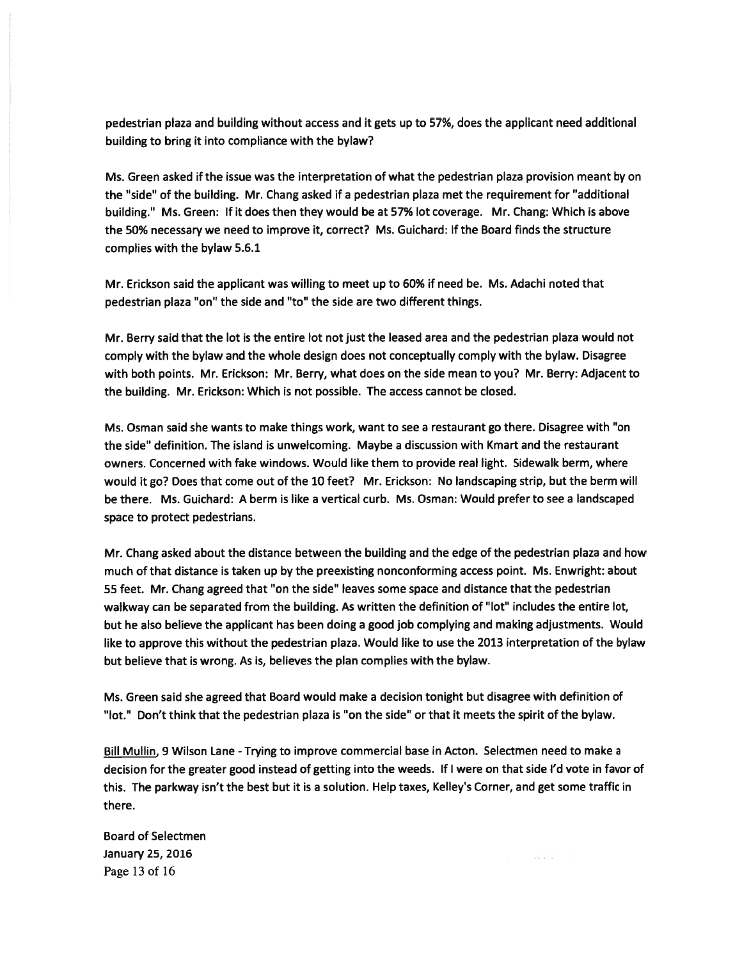pedestrian plaza and building without access and it gets up to 57%, does the applicant need additional building to bring it into compliance with the bylaw?

Ms. Green asked if the issue was the interpretation of what the pedestrian plaza provision meant by on the "side" of the building. Mr. Chang asked if <sup>a</sup> pedestrian plaza met the requirement for "additional building." Ms. Green: If it does then they would be at 57% lot coverage. Mr. Chang: Which is above the 50% necessary we need to improve it, correct? Ms. Guichard: If the Board finds the structure complies with the bylaw 5.6.1

Mr. Erickson said the applicant was willing to meet up to 60% if need be. Ms. Adachi noted that pedestrian plaza "on" the side and "to" the side are two different things.

Mr. Berry said that the lot is the entire lot not just the leased area and the pedestrian plaza would not comply with the bylaw and the whole design does not conceptually comply with the bylaw. Disagree with both points. Mr. Erickson: Mr. Berry, what does on the side mean to you? Mr. Berry: Adjacent to the building. Mr. Erickson: Which is not possible. The access cannot be closed.

Ms. Osman said she wants to make things work, want to see <sup>a</sup> restaurant go there. Disagree with "on the side" definition. The island is unwelcoming. Maybe <sup>a</sup> discussion with Kmart and the restaurant owners. Concerned with fake windows. Would like them to provide real light. Sidewalk berm, where would it go? Does that come out of the 10 feet? Mr. Erickson: No landscaping strip, but the berm will be there. Ms. Guichard: A berm is like <sup>a</sup> vertical curb. Ms. Osman: Would prefer to see <sup>a</sup> landscaped space to protect pedestrians.

Mr. Chang asked about the distance between the building and the edge of the pedestrian <sup>p</sup>laza and how much of that distance is taken up by the preexisting nonconforming access point. Ms. Enwright: about 55 feet. Mr. Chang agreed that "on the side" leaves some space and distance that the pedestrian walkway can be separated from the building. As written the definition of "lot" includes the entire lot, but he also believe the applicant has been doing <sup>a</sup> good job complying and making adjustments. Would like to approve this without the pedestrian plaza. Would like to use the 2013 interpretation of the bylaw but believe that is wrong. As is, believes the plan complies with the bylaw.

Ms. Green said she agreed that Board would make <sup>a</sup> decision tonight but disagree with definition of "lot." Don't think that the pedestrian plaza is "on the side" or that it meets the spirit of the bylaw.

Bill Mullin, 9 Wilson Lane - Trying to improve commercial base in Acton. Selectmen need to make a decision for the greater good instead of getting into the weeds. If <sup>I</sup> were on that side I'd vote in favor of this. The parkway isn't the best but it is <sup>a</sup> solution. Help taxes, Kelley's Corner, and ge<sup>t</sup> some traffic in there.

Board of Selectmen January 25, 2016 Page 13 of 16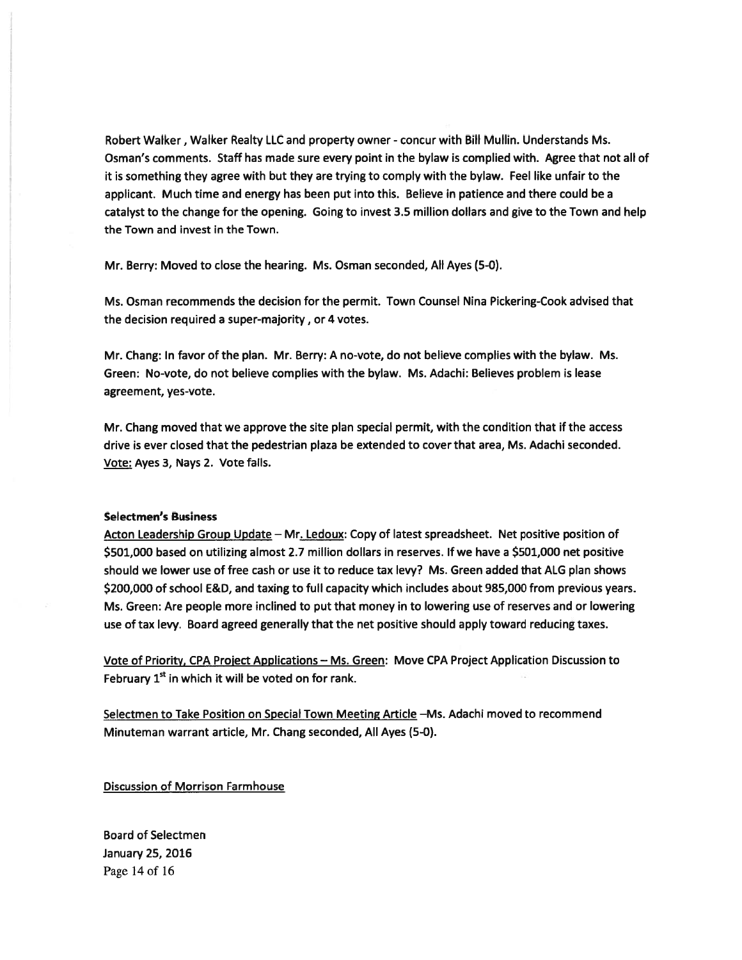Robert Walker, Walker Realty LLC and property owner - concur with Bill Mullin. Understands Ms. Osman's comments. Staff has made sure every point in the bylaw is complied with. Agree that not all of it is something they agree with but they are trying to comply with the bylaw. Feel like unfair to the applicant. Much time and energy has been pu<sup>t</sup> into this. Believe in patience and there could be <sup>a</sup> catalyst to the change for the opening. Going to invest 3.5 million dollars and give to the Town and help the Town and invest in the Town.

Mr. Berry: Moved to close the hearing. Ms. Osman seconded, All Ayes (5-0).

Ms. Osman recommends the decision for the permit. Town Counsel Nina Pickering-Cook advised that the decision required <sup>a</sup> super-majority, or 4 votes.

Mr. Chang: In favor of the plan. Mr. Berry: A no-vote, do not believe complies with the bylaw. Ms. Green: No-vote, do not believe complies with the bylaw. Ms. Adachi: Believes problem is lease agreement, yes-vote.

Mr. Chang moved that we approve the site plan special permit, with the condition that if the access drive is ever closed that the pedestrian plaza be extended to cover that area, Ms. Adachi seconded. Vote: Ayes 3, Nays 2. Vote fails.

#### Selectmen's Business

Acton Leadership Group Update - Mr. Ledoux: Copy of latest spreadsheet. Net positive position of \$501,000 based on utilizing almost 2.7 million dollars in reserves. If we have <sup>a</sup> \$501,000 net positive should we lower use of free cash or use it to reduce tax levy? Ms. Green added that ALG plan shows \$200,000 of school E&D, and taxing to full capacity which includes about 985,000 from previous years. Ms. Green: Are people more inclined to pu<sup>t</sup> that money in to lowering use of reserves and or lowering use of tax levy. Board agreed generally that the net positive should apply toward reducing taxes.

Vote of Priority, CPA Project Applications — Ms. Green: Move CPA Project Application Discussion to February  $1<sup>st</sup>$  in which it will be voted on for rank.

Selectmen to Take Position on Special Town Meeting Article -Ms. Adachi moved to recommend Minuteman warrant article, Mr. Chang seconded, All Ayes (5-0).

Discussion of Morrison Farmhouse

Board of Selectmen January 25, 2016 Page 14 of 16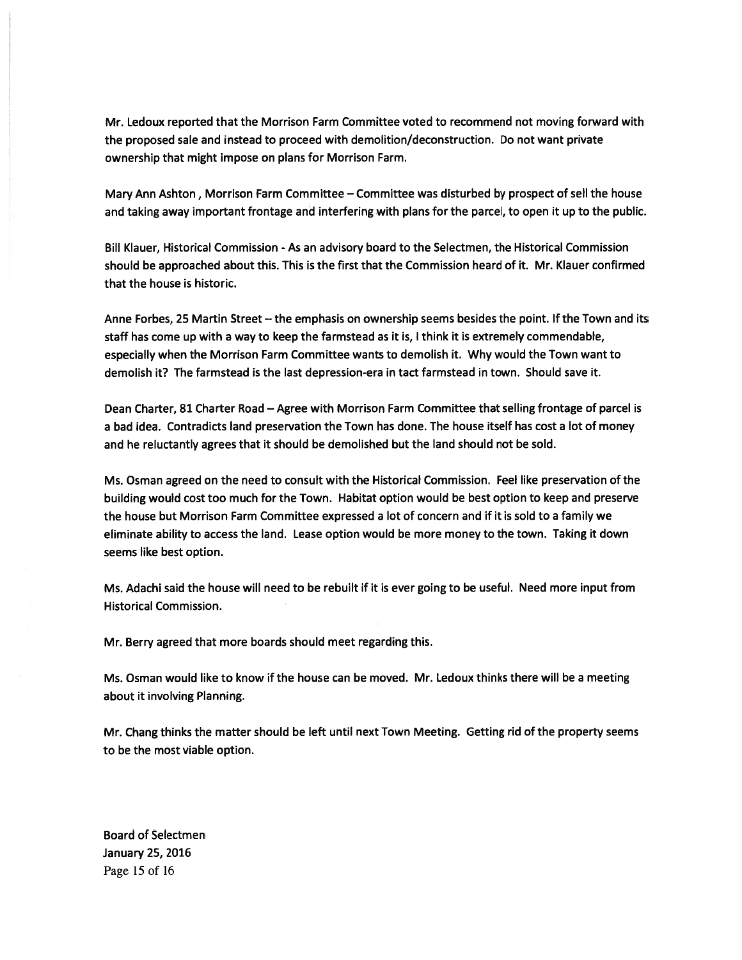Mr. Ledoux reported that the Morrison Farm Committee voted to recommend not moving forward with the proposed sale and instead to proceed with demolition/deconstruction. Do not want private ownership that might impose on plans for Morrison Farm.

Mary Ann Ashton, Morrison Farm Committee — Committee was disturbed by prospec<sup>t</sup> of sell the house and taking away important frontage and interfering with plans for the parcel, to open it up to the public.

Bill Klauer, Historical Commission - As an advisory board to the Selectmen, the Historical Commission should be approached about this. This is the first that the Commission heard of it. Mr. Klauer confirmed that the house is historic.

Anne Forbes, 25 Martin Street — the emphasis on ownership seems besides the point. If the Town and its staff has come up with <sup>a</sup> way to keep the farmstead as it is, <sup>I</sup> think it is extremely commendable, especially when the Morrison Farm Committee wants to demolish it. Why would the Town want to demolish it? The farmstead is the last depression-era in tact farmstead in town. Should save it.

Dean Charter, 81 Charter Road — Agree with Morrison Farm Committee that selling frontage of parcel is <sup>a</sup> bad idea. Contradicts land preservation the Town has done. The house itself has cost <sup>a</sup> lot of money and he reluctantly agrees that it should be demolished but the land should not be sold.

Ms. Osman agreed on the need to consult with the Historical Commission. Feel like preservation of the building would cost too much for the Town. Habitat option would be best option to keep and preserve the house but Morrison Farm Committee expressed <sup>a</sup> lot of concern and if it is sold to <sup>a</sup> family we eliminate ability to access the land. Lease option would be more money to the town. Taking it down seems like best option.

Ms. Adachi said the house will need to be rebuilt if it is ever going to be useful. Need more input from Historical Commission.

Mr. Berry agreed that more boards should meet regarding this.

Ms. Osman would like to know if the house can be moved. Mr. Ledoux thinks there will be <sup>a</sup> meeting about it involving Planning.

Mr. Chang thinks the matter should be left until next Town Meeting. Getting rid of the property seems to be the most viable option.

Board of Selectmen January 25, 2016 Page 15 of 16